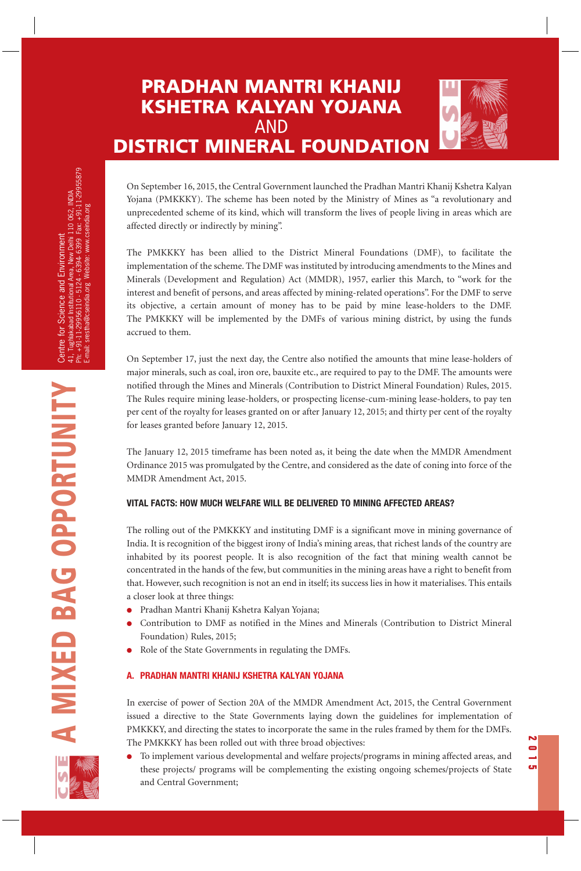# **PRADHAN MANTRI KHANIJ KSHETRA KALYAN YOJANA**  AND **DISTRICT MINERAL FOUNDATION**



The PMKKKY has been allied to the District Mineral Foundations (DMF), to facilitate the implementation of the scheme. The DMF was instituted by introducing amendments to the Mines and Minerals (Development and Regulation) Act (MMDR), 1957, earlier this March, to "work for the interest and benefit of persons, and areas affected by mining-related operations". For the DMF to serve its objective, a certain amount of money has to be paid by mine lease-holders to the DMF. The PMKKKY will be implemented by the DMFs of various mining district, by using the funds accrued to them.

On September 17, just the next day, the Centre also notified the amounts that mine lease-holders of major minerals, such as coal, iron ore, bauxite etc., are required to pay to the DMF. The amounts were notified through the Mines and Minerals (Contribution to District Mineral Foundation) Rules, 2015. The Rules require mining lease-holders, or prospecting license-cum-mining lease-holders, to pay ten per cent of the royalty for leases granted on or after January 12, 2015; and thirty per cent of the royalty for leases granted before January 12, 2015.

The January 12, 2015 timeframe has been noted as, it being the date when the MMDR Amendment Ordinance 2015 was promulgated by the Centre, and considered as the date of coning into force of the MMDR Amendment Act, 2015.

## **VITAL FACTS: HOW MUCH WELFARE WILL BE DELIVERED TO MINING AFFECTED AREAS?**

The rolling out of the PMKKKY and instituting DMF is a significant move in mining governance of India. It is recognition of the biggest irony of India's mining areas, that richest lands of the country are inhabited by its poorest people. It is also recognition of the fact that mining wealth cannot be concentrated in the hands of the few, but communities in the mining areas have a right to benefit from that. However, such recognition is not an end in itself; its success lies in how it materialises. This entails a closer look at three things:

- Pradhan Mantri Khanij Kshetra Kalyan Yojana;
- Contribution to DMF as notified in the Mines and Minerals (Contribution to District Mineral Foundation) Rules, 2015;
- Role of the State Governments in regulating the DMFs.

## **A. PRADHAN MANTRI KHANIJ KSHETRA KALYAN YOJANA**

In exercise of power of Section 20A of the MMDR Amendment Act, 2015, the Central Government issued a directive to the State Governments laying down the guidelines for implementation of PMKKKY, and directing the states to incorporate the same in the rules framed by them for the DMFs. The PMKKKY has been rolled out with three broad objectives:

To implement various developmental and welfare projects/programs in mining affected areas, and these projects/ programs will be complementing the existing ongoing schemes/projects of State and Central Government;

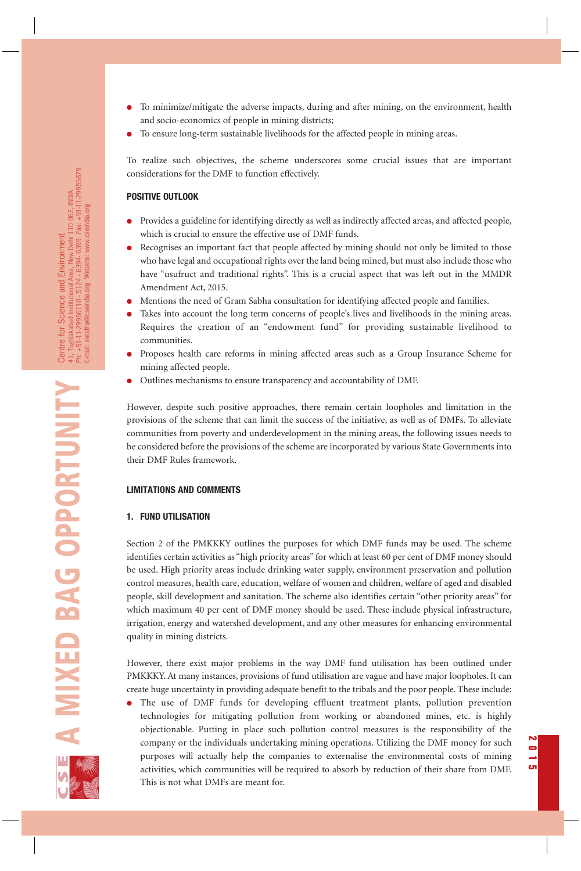- To minimize/mitigate the adverse impacts, during and after mining, on the environment, health and socio-economics of people in mining districts;
- To ensure long-term sustainable livelihoods for the affected people in mining areas.

To realize such objectives, the scheme underscores some crucial issues that are important considerations for the DMF to function effectively.

#### **POSITIVE OUTLOOK**

- Provides a guideline for identifying directly as well as indirectly affected areas, and affected people, which is crucial to ensure the effective use of DMF funds.
- Recognises an important fact that people affected by mining should not only be limited to those who have legal and occupational rights over the land being mined, but must also include those who have "usufruct and traditional rights". This is a crucial aspect that was left out in the MMDR Amendment Act, 2015.
- Mentions the need of Gram Sabha consultation for identifying affected people and families.
- Takes into account the long term concerns of people's lives and livelihoods in the mining areas. Requires the creation of an "endowment fund" for providing sustainable livelihood to communities.
- Proposes health care reforms in mining affected areas such as a Group Insurance Scheme for mining affected people.
- Outlines mechanisms to ensure transparency and accountability of DMF.

However, despite such positive approaches, there remain certain loopholes and limitation in the provisions of the scheme that can limit the success of the initiative, as well as of DMFs. To alleviate communities from poverty and underdevelopment in the mining areas, the following issues needs to be considered before the provisions of the scheme are incorporated by various State Governments into their DMF Rules framework.

#### **LIMITATIONS AND COMMENTS**

#### **1. FUND UTILISATION**

Section 2 of the PMKKKY outlines the purposes for which DMF funds may be used. The scheme identifies certain activities as "high priority areas" for which at least 60 per cent of DMF money should be used. High priority areas include drinking water supply, environment preservation and pollution control measures, health care, education, welfare of women and children, welfare of aged and disabled people, skill development and sanitation. The scheme also identifies certain "other priority areas" for which maximum 40 per cent of DMF money should be used. These include physical infrastructure, irrigation, energy and watershed development, and any other measures for enhancing environmental quality in mining districts.

However, there exist major problems in the way DMF fund utilisation has been outlined under PMKKKY. At many instances, provisions of fund utilisation are vague and have major loopholes. It can create huge uncertainty in providing adequate benefit to the tribals and the poor people. These include:

● The use of DMF funds for developing effluent treatment plants, pollution prevention technologies for mitigating pollution from working or abandoned mines, etc. is highly objectionable. Putting in place such pollution control measures is the responsibility of the company or the individuals undertaking mining operations. Utilizing the DMF money for such purposes will actually help the companies to externalise the environmental costs of mining activities, which communities will be required to absorb by reduction of their share from DMF. This is not what DMFs are meant for.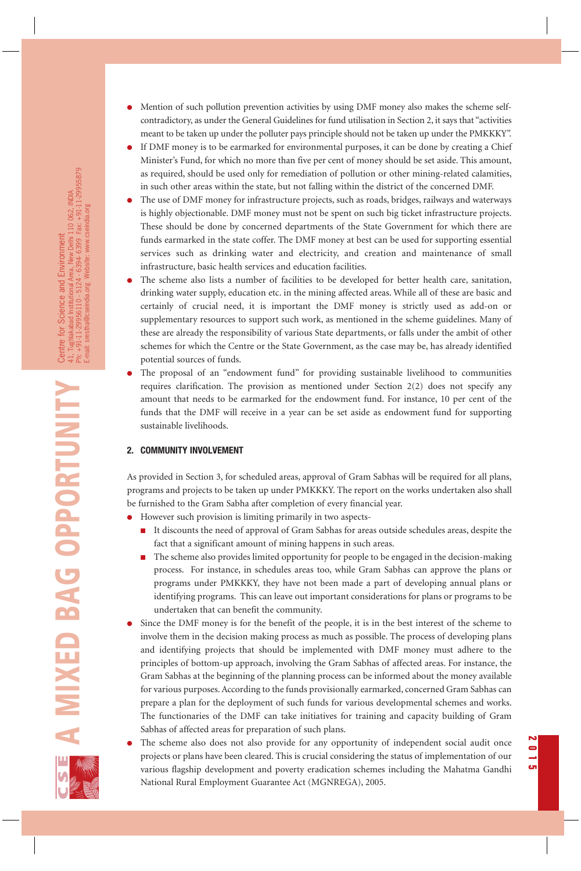- Mention of such pollution prevention activities by using DMF money also makes the scheme selfcontradictory, as under the General Guidelines for fund utilisation in Section 2, it says that "activities meant to be taken up under the polluter pays principle should not be taken up under the PMKKKY".
- If DMF money is to be earmarked for environmental purposes, it can be done by creating a Chief Minister's Fund, for which no more than five per cent of money should be set aside. This amount, as required, should be used only for remediation of pollution or other mining-related calamities, in such other areas within the state, but not falling within the district of the concerned DMF.
- The use of DMF money for infrastructure projects, such as roads, bridges, railways and waterways is highly objectionable. DMF money must not be spent on such big ticket infrastructure projects. These should be done by concerned departments of the State Government for which there are funds earmarked in the state coffer. The DMF money at best can be used for supporting essential services such as drinking water and electricity, and creation and maintenance of small infrastructure, basic health services and education facilities.
- The scheme also lists a number of facilities to be developed for better health care, sanitation, drinking water supply, education etc. in the mining affected areas. While all of these are basic and certainly of crucial need, it is important the DMF money is strictly used as add-on or supplementary resources to support such work, as mentioned in the scheme guidelines. Many of these are already the responsibility of various State departments, or falls under the ambit of other schemes for which the Centre or the State Government, as the case may be, has already identified potential sources of funds.
- The proposal of an "endowment fund" for providing sustainable livelihood to communities requires clarification. The provision as mentioned under Section  $2(2)$  does not specify any amount that needs to be earmarked for the endowment fund. For instance, 10 per cent of the funds that the DMF will receive in a year can be set aside as endowment fund for supporting sustainable livelihoods.

## **2. COMMUNITY INVOLVEMENT**

As provided in Section 3, for scheduled areas, approval of Gram Sabhas will be required for all plans, programs and projects to be taken up under PMKKKY. The report on the works undertaken also shall be furnished to the Gram Sabha after completion of every financial year.

- However such provision is limiting primarily in two aspects-
	- It discounts the need of approval of Gram Sabhas for areas outside schedules areas, despite the fact that a significant amount of mining happens in such areas.
	- The scheme also provides limited opportunity for people to be engaged in the decision-making process. For instance, in schedules areas too, while Gram Sabhas can approve the plans or programs under PMKKKY, they have not been made a part of developing annual plans or identifying programs. This can leave out important considerations for plans or programs to be undertaken that can benefit the community.
- Since the DMF money is for the benefit of the people, it is in the best interest of the scheme to involve them in the decision making process as much as possible. The process of developing plans and identifying projects that should be implemented with DMF money must adhere to the principles of bottom-up approach, involving the Gram Sabhas of affected areas. For instance, the Gram Sabhas at the beginning of the planning process can be informed about the money available for various purposes. According to the funds provisionally earmarked, concerned Gram Sabhas can prepare a plan for the deployment of such funds for various developmental schemes and works. The functionaries of the DMF can take initiatives for training and capacity building of Gram Sabhas of affected areas for preparation of such plans.
- The scheme also does not also provide for any opportunity of independent social audit once projects or plans have been cleared. This is crucial considering the status of implementation of our various flagship development and poverty eradication schemes including the Mahatma Gandhi National Rural Employment Guarantee Act (MGNREGA), 2005.